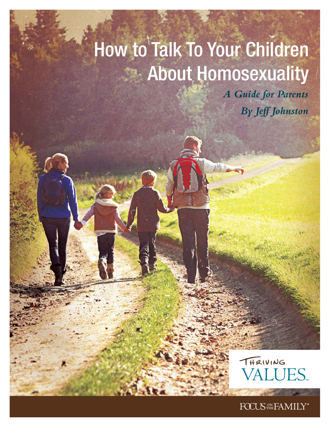# How to Talk To Your Children About Homosexuality

W.

*A Guide for Parents By Jeff Johnston*



FOCUS<sup>ON</sup> FAMILY®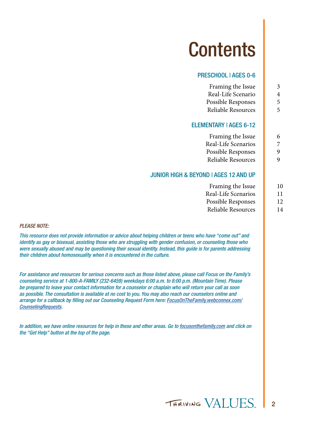## **Contents**

#### PRESCHOOL | AGES 0-6

| 3<br>4<br>5 | Framing the Issue<br>Real-Life Scenario<br>Possible Responses                                                                                                                                                                                                                                                                            |
|-------------|------------------------------------------------------------------------------------------------------------------------------------------------------------------------------------------------------------------------------------------------------------------------------------------------------------------------------------------|
| 5           | Reliable Resources<br><b>ELEMENTARY   AGES 6-12</b>                                                                                                                                                                                                                                                                                      |
| 6           | Framing the Issue                                                                                                                                                                                                                                                                                                                        |
| 7           | Real-Life Scenarios                                                                                                                                                                                                                                                                                                                      |
| 9           | Possible Responses                                                                                                                                                                                                                                                                                                                       |
| 9           | Reliable Resources                                                                                                                                                                                                                                                                                                                       |
|             | <b>JUNIOR HIGH &amp; BEYOND   AGES 12 AND UP</b>                                                                                                                                                                                                                                                                                         |
| 10          | Framing the Issue                                                                                                                                                                                                                                                                                                                        |
| 11          | Real-Life Scenarios                                                                                                                                                                                                                                                                                                                      |
| 12<br>14    | Possible Responses<br><b>Reliable Resources</b>                                                                                                                                                                                                                                                                                          |
|             | or advice about helping children or teens who have "come out" and<br>who are struggling with gender confusion, or counseling those who<br>ing their sexual identity. Instead, this guide is for parents addressing<br>is encountered in the culture.                                                                                     |
|             | ncerns such as those listed above, please call Focus on the Family's<br>-6459) weekdays 6:00 a.m. to 8:00 p.m. (Mountain Time). Please<br>on for a counselor or chaplain who will return your call as soon<br>no cost to you. You may also reach our counselors online and<br>nseling Request Form here: FocusOnTheFamily.webconnex.com/ |

*PLEASE NOTE:*

*This resource does not provide information d identify as gay or bisexual, assisting those w were sexually abused and may be questioning their sexually abused and may be questioning their children about homosexuality when it is* 

*For assistance and resources for serious cor counseling service at 1-800-A-FAMILY (232-6459) weekdays 6:00 a.m. to 8:00 p.m. (Mountain Time). Please be prepared to leave your contact informatio as possible. The consultation is available at also possible. The consultation is available at arrange for a callback by filling out our Counsers arrange for a callback by filling out our Coun [CounselingRequests.](http://focusonthefamily.webconnex.com/counselingrequests)* 

*In addition, we have online resources for help in these and other areas. Go to [focusonthefamily.com](http://focusonthefamily.com) and click on the "Get Help" button at the top of the page.*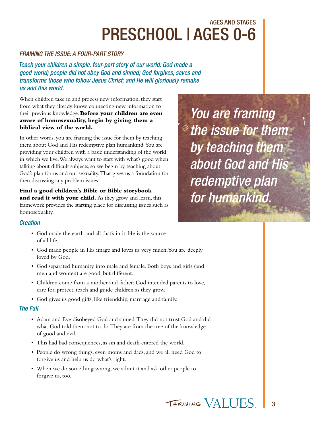## AGES AND STAGES PRESCHOOL | AGES 0-6

#### *FRAMING THE ISSUE: A FOUR-PART STORY*

*Teach your children a simple, four-part story of our world: God made a good world; people did not obey God and sinned; God forgives, saves and transforms those who follow Jesus Christ; and He will gloriously remake us and this world.*

When children take in and process new information, they start from what they already know, connecting new information to their previous knowledge. **Before your children are even aware of homosexuality, begin by giving them a biblical view of the world.** 

In other words, you are framing the issue for them by teaching them about God and His redemptive plan humankind. You are providing your children with a basic understanding of the world in which we live. We always want to start with what's good when talking about difficult subjects, so we begin by teaching about God's plan for us and our sexuality. That gives us a foundation for then discussing any problem issues.

**Find a good children's Bible or Bible storybook and read it with your child.** As they grow and learn, this framework provides the starting place for discussing issues such as homosexuality.

*You are framing the issue for them by teaching them about God and His redemptive plan for humankind.*

#### *Creation*

- God made the earth and all that's in it; He is the source of all life.
- God made people in His image and loves us very much. You are deeply loved by God.
- God separated humanity into male and female. Both boys and girls (and men and women) are good, but different.
- Children come from a mother and father; God intended parents to love, care for, protect, teach and guide children as they grow.
- God gives us good gifts, like friendship, marriage and family.

#### *The Fall*

- Adam and Eve disobeyed God and sinned. They did not trust God and did what God told them not to do. They ate from the tree of the knowledge of good and evil.
- This had bad consequences, as sin and death entered the world.
- People do wrong things, even moms and dads, and we all need God to forgive us and help us do what's right.
- When we do something wrong, we admit it and ask other people to forgive us, too.

THRIVING VALLIES 3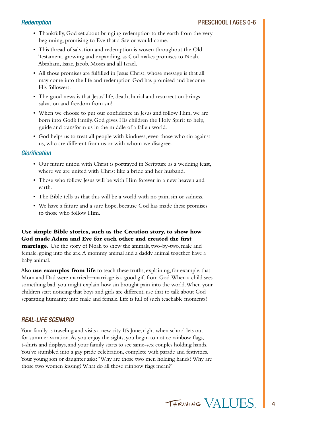- Thankfully, God set about bringing redemption to the earth from the very beginning, promising to Eve that a Savior would come.
- This thread of salvation and redemption is woven throughout the Old Testament, growing and expanding, as God makes promises to Noah, Abraham, Isaac, Jacob, Moses and all Israel.
- All those promises are fulfilled in Jesus Christ, whose message is that all may come into the life and redemption God has promised and become His followers.
- The good news is that Jesus' life, death, burial and resurrection brings salvation and freedom from sin!
- When we choose to put our confidence in Jesus and follow Him, we are born into God's family. God gives His children the Holy Spirit to help, guide and transform us in the middle of a fallen world.
- God helps us to treat all people with kindness, even those who sin against us, who are different from us or with whom we disagree.

#### *Glorification*

- Our future union with Christ is portrayed in Scripture as a wedding feast, where we are united with Christ like a bride and her husband.
- Those who follow Jesus will be with Him forever in a new heaven and earth.
- The Bible tells us that this will be a world with no pain, sin or sadness.
- We have a future and a sure hope, because God has made these promises to those who follow Him.

#### **Use simple Bible stories, such as the Creation story, to show how God made Adam and Eve for each other and created the first**

**marriage.** Use the story of Noah to show the animals, two-by-two, male and female, going into the ark. A mommy animal and a daddy animal together have a baby animal.

Also **use examples from life** to teach these truths, explaining, for example, that Mom and Dad were married—marriage is a good gift from God. When a child sees something bad, you might explain how sin brought pain into the world. When your children start noticing that boys and girls are different, use that to talk about God separating humanity into male and female. Life is full of such teachable moments!

#### *REAL-LIFE SCENARIO*

Your family is traveling and visits a new city. It's June, right when school lets out for summer vacation. As you enjoy the sights, you begin to notice rainbow flags, t-shirts and displays, and your family starts to see same-sex couples holding hands. You've stumbled into a gay pride celebration, complete with parade and festivities. Your young son or daughter asks: "Why are those two men holding hands? Why are those two women kissing? What do all those rainbow flags mean?"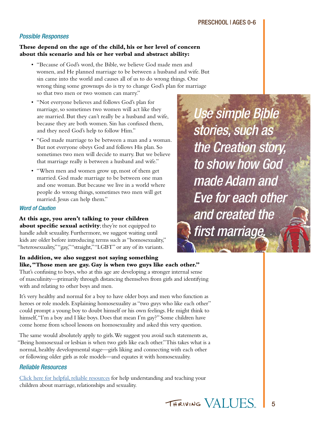#### *Possible Responses*

#### **These depend on the age of the child, his or her level of concern about this scenario and his or her verbal and abstract ability:**

- "Because of God's word, the Bible, we believe God made men and women, and He planned marriage to be between a husband and wife. But sin came into the world and causes all of us to do wrong things. One wrong thing some grownups do is try to change God's plan for marriage so that two men or two women can marry."
- "Not everyone believes and follows God's plan for marriage, so sometimes two women will act like they are married. But they can't really be a husband and wife, because they are both women. Sin has confused them, and they need God's help to follow Him."
- "God made marriage to be between a man and a woman. But not everyone obeys God and follows His plan. So sometimes two men will decide to marry. But we believe that marriage really is between a husband and wife."
- "When men and women grow up, most of them get married. God made marriage to be between one man and one woman. But because we live in a world where people do wrong things, sometimes two men will get married. Jesus can help them."

#### *Word of Caution*

**At this age, you aren't talking to your children about specific sexual activity**; they're not equipped to handle adult sexuality. Furthermore, we suggest waiting until kids are older before introducing terms such as "homosexuality," "heterosexuality," "gay," "straight," "LGBT" or any of its variants.

**In addition, we also suggest not saying something like, "Those men are gay. Gay is when two guys like each other."** That's confusing to boys, who at this age are developing a stronger internal sense of masculinity—primarily through distancing themselves from girls and identifying with and relating to other boys and men.

It's very healthy and normal for a boy to have older boys and men who function as heroes or role models. Explaining homosexuality as "two guys who like each other" could prompt a young boy to doubt himself or his own feelings. He might think to himself, "I'm a boy and I like boys. Does that mean I'm gay?" Some children have come home from school lessons on homosexuality and asked this very question.

The same would absolutely apply to girls. We suggest you avoid such statements as, "Being homosexual or lesbian is when two girls like each other." This takes what is a normal, healthy developmental stage—girls liking and connecting with each other or following older girls as role models—and equates it with homosexuality.

#### *Reliable Resources*

[Click here for helpful, reliable resources](http://bit.ly/1BvYWFW) for help understanding and teaching your children about marriage, relationships and sexuality.

*Use simple Bible stories, such as the Creation story, to show how God made Adam and Eve for each other and created the first marriage.*

THRIVING VALLIES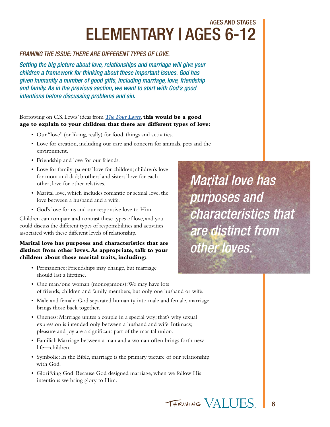## AGES AND STAGES ELEMENTARY | AGES 6-12

#### *FRAMING THE ISSUE: THERE ARE DIFFERENT TYPES OF LOVE.*

*Setting the big picture about love, relationships and marriage will give your children a framework for thinking about these important issues. God has given humanity a number of good gifts, including marriage, love, friendship and family. As in the previous section, we want to start with God's good intentions before discussing problems and sin.* 

#### Borrowing on C.S. Lewis' ideas from *[The Four Loves](http://family.christianbook.com/Christian/Books/easy_find?Ntt=the+four+loves&N=0&Ntk=keywords&action=Search&Ne=0&event=ESRCG&nav_search=1&cms=1)*, **this would be a good age to explain to your children that there are different types of love:**

- Our "love" (or liking, really) for food, things and activities.
- Love for creation, including our care and concern for animals, pets and the environment.
- Friendship and love for our friends.
- Love for family: parents' love for children; children's love for mom and dad; brothers' and sisters' love for each other; love for other relatives.
- Marital love, which includes romantic or sexual love, the love between a husband and a wife.
- God's love for us and our responsive love to Him.

Children can compare and contrast these types of love, and you could discuss the different types of responsibilities and activities associated with these different levels of relationship.

#### **Marital love has purposes and characteristics that are distinct from other loves. As appropriate, talk to your children about these marital traits, including:**

- Permanence: Friendships may change, but marriage should last a lifetime.
- One man/one woman (monogamous): We may have lots of friends, children and family members, but only one husband or wife.
- Male and female: God separated humanity into male and female, marriage brings those back together.
- Oneness: Marriage unites a couple in a special way; that's why sexual expression is intended only between a husband and wife. Intimacy, pleasure and joy are a significant part of the marital union.
- Familial: Marriage between a man and a woman often brings forth new life—children.
- Symbolic: In the Bible, marriage is the primary picture of our relationship with God.
- Glorifying God: Because God designed marriage, when we follow His intentions we bring glory to Him.

*Marital love has purposes and characteristics that are distinct from other loves.*

THRIVING VALLIES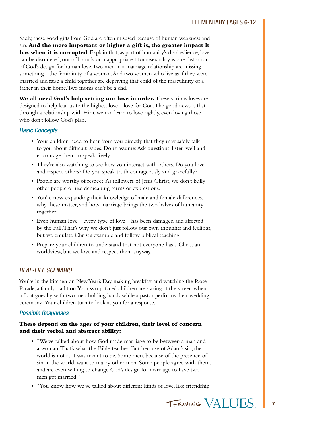Sadly, these good gifts from God are often misused because of human weakness and sin. **And the more important or higher a gift is, the greater impact it has when it is corrupted**. Explain that, as part of humanity's disobedience, love can be disordered, out of bounds or inappropriate. Homosexuality is one distortion of God's design for human love. Two men in a marriage relationship are missing something—the femininity of a woman. And two women who live as if they were married and raise a child together are depriving that child of the masculinity of a father in their home. Two moms can't be a dad.

**We all need God's help setting our love in order.** These various loves are designed to help lead us to the highest love—love for God. The good news is that through a relationship with Him, we can learn to love rightly, even loving those who don't follow God's plan.

#### *Basic Concepts*

- Your children need to hear from you directly that they may safely talk to you about difficult issues. Don't assume: Ask questions, listen well and encourage them to speak freely.
- They're also watching to see how you interact with others. Do you love and respect others? Do you speak truth courageously and gracefully?
- People are worthy of respect. As followers of Jesus Christ, we don't bully other people or use demeaning terms or expressions.
- You're now expanding their knowledge of male and female differences, why these matter, and how marriage brings the two halves of humanity together.
- Even human love—every type of love—has been damaged and affected by the Fall. That's why we don't just follow our own thoughts and feelings, but we emulate Christ's example and follow biblical teaching.
- Prepare your children to understand that not everyone has a Christian worldview, but we love and respect them anyway.

#### *REAL-LIFE SCENARIO*

You're in the kitchen on New Year's Day, making breakfast and watching the Rose Parade, a family tradition. Your syrup-faced children are staring at the screen when a float goes by with two men holding hands while a pastor performs their wedding ceremony. Your children turn to look at you for a response.

#### *Possible Responses*

#### **These depend on the ages of your children, their level of concern and their verbal and abstract ability:**

- "We've talked about how God made marriage to be between a man and a woman. That's what the Bible teaches. But because of Adam's sin, the world is not as it was meant to be. Some men, because of the presence of sin in the world, want to marry other men. Some people agree with them, and are even willing to change God's design for marriage to have two men get married."
- "You know how we've talked about different kinds of love, like friendship

THRIVING VALLIES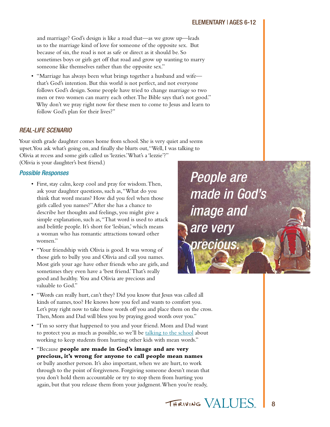and marriage? God's design is like a road that—as we grow up—leads us to the marriage kind of love for someone of the opposite sex. But because of sin, the road is not as safe or direct as it should be. So sometimes boys or girls get off that road and grow up wanting to marry someone like themselves rather than the opposite sex."

• "Marriage has always been what brings together a husband and wife that's God's intention. But this world is not perfect, and not everyone follows God's design. Some people have tried to change marriage so two men or two women can marry each other. The Bible says that's not good." Why don't we pray right now for these men to come to Jesus and learn to follow God's plan for their lives?"

#### *REAL-LIFE SCENARIO*

Your sixth grade daughter comes home from school. She is very quiet and seems upset. You ask what's going on, and finally she blurts out, "Well, I was talking to Olivia at recess and some girls called us 'lezzies.' What's a 'lezzie'?" (Olivia is your daughter's best friend.)

#### *Possible Responses*

- First, stay calm, keep cool and pray for wisdom. Then, ask your daughter questions, such as, "What do you think that word means? How did you feel when those girls called you names?" After she has a chance to describe her thoughts and feelings, you might give a simple explanation, such as, "That word is used to attack and belittle people. It's short for 'lesbian,' which means a woman who has romantic attractions toward other women."
- "Your friendship with Olivia is good. It was wrong of those girls to bully you and Olivia and call you names. Most girls your age have other friends who are girls, and sometimes they even have a 'best friend.' That's really good and healthy. You and Olivia are precious and valuable to God."

*People are made in God's image and are very precious.*

- "Words can really hurt, can't they? Did you know that Jesus was called all kinds of names, too? He knows how you feel and wants to comfort you. Let's pray right now to take those words off you and place them on the cross. Then, Mom and Dad will bless you by praying good words over you."
- "I'm so sorry that happened to you and your friend. Mom and Dad want to protect you as much as possible, so we'll be [talking to the school](http://truetolerance.org) about working to keep students from hurting other kids with mean words."
- "Because **people are made in God's image and are very precious, it's wrong for anyone to call people mean names** or bully another person. It's also important, when we are hurt, to work through to the point of forgiveness. Forgiving someone doesn't mean that you don't hold them accountable or try to stop them from hurting you again, but that you release them from your judgment. When you're ready,

THRIVING VALLIES 8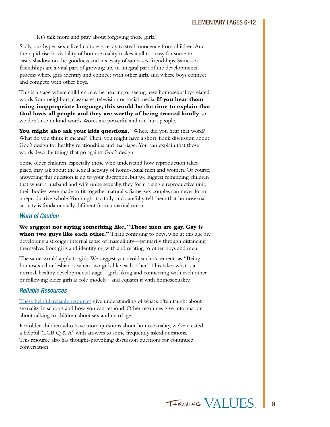let's talk more and pray about forgiving those girls."

Sadly, our hyper-sexualized culture is ready to steal innocence from children. And the rapid rise in visibility of homosexuality makes it all too easy for some to cast a shadow on the goodness and necessity of same-sex friendships. Same-sex friendships are a vital part of growing up, an integral part of the developmental process where girls identify and connect with other girls, and where boys connect and compete with other boys.

This is a stage where children may be hearing or seeing new homosexuality-related words from neighbors, classmates, television or social media. **If you hear them using inappropriate language, this would be the time to explain that God loves all people and they are worthy of being treated kindly**, so we don't use unkind words. Words are powerful and can hurt people.

You might also ask your kids questions, "Where did you hear that word? What do you think it means?" Then, you might have a short, frank discussion about God's design for healthy relationships and marriage. You can explain that those words describe things that go against God's design.

Some older children, especially those who understand how reproduction takes place, may ask about the sexual activity of homosexual men and women. Of course, answering this question is up to your discretion, but we suggest reminding children that when a husband and wife unite sexually, they form a single reproductive unit; their bodies were made to fit together naturally. Same-sex couples can never form a reproductive whole. You might tactfully and carefully tell them that homosexual activity is fundamentally different from a marital union.

#### *Word of Caution*

**We suggest not saying something like, "Those men are gay. Gay is**  when two guys like each other." That's confusing to boys, who at this age are developing a stronger internal sense of masculinity—primarily through distancing themselves from girls and identifying with and relating to other boys and men.

The same would apply to girls. We suggest you avoid such statements as, "Being homosexual or lesbian is when two girls like each other." This takes what is a normal, healthy developmental stage—girls liking and connecting with each other or following older girls as role models—and equates it with homosexuality.

#### *Reliable Resources*

[These helpful, reliable resources](http://bit.ly/1BvYWFW) give understanding of what's often taught about sexuality in schools and how you can respond. Other resources give information about talking to children about sex and marriage.

For older children who have more questions about homosexuality, we've created a helpful "LGB Q & A" with answers to some frequently asked questions. This resource also has thought-provoking discussion questions for continued conversation.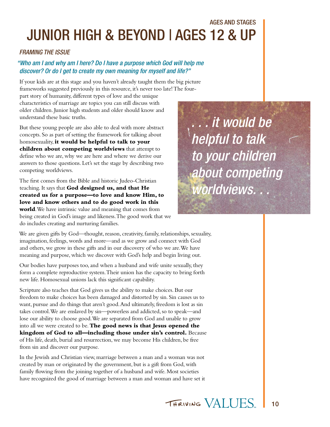### AGES AND STAGES JUNIOR HIGH & BEYOND | AGES 12 & UP

#### *FRAMING THE ISSUE*

#### *"Who am I and why am I here? Do I have a purpose which God will help me discover? Or do I get to create my own meaning for myself and life?"*

If your kids are at this stage and you haven't already taught them the big picture frameworks suggested previously in this resource, it's never too late! The four-

part story of humanity, different types of love and the unique characteristics of marriage are topics you can still discuss with older children. Junior high students and older should know and understand these basic truths.

But these young people are also able to deal with more abstract concepts. So as part of setting the framework for talking about homosexuality, **it would be helpful to talk to your children about competing worldviews** that attempt to define who we are, why we are here and where we derive our answers to those questions. Let's set the stage by describing two competing worldviews.

The first comes from the Bible and historic Judeo-Christian teaching. It says that **God designed us, and that He created us for a purpose—to love and know Him, to love and know others and to do good work in this world**. We have intrinsic value and meaning that comes from being created in God's image and likeness. The good work that we do includes creating and nurturing families.

*. . . it would be helpful to talk to your children about competing worldviews. . .*

We are given gifts by God—thought, reason, creativity, family, relationships, sexuality, imagination, feelings, words and more—and as we grow and connect with God and others, we grow in these gifts and in our discovery of who we are. We have meaning and purpose, which we discover with God's help and begin living out.

Our bodies have purposes too, and when a husband and wife unite sexually, they form a complete reproductive system. Their union has the capacity to bring forth new life. Homosexual unions lack this significant capability.

Scripture also teaches that God gives us the ability to make choices. But our freedom to make choices has been damaged and distorted by sin. Sin causes us to want, pursue and do things that aren't good. And ultimately, freedom is lost as sin takes control. We are enslaved by sin—powerless and addicted, so to speak—and lose our ability to choose good. We are separated from God and unable to grow into all we were created to be. **The good news is that Jesus opened the kingdom of God to all—including those under sin's control.** Because of His life, death, burial and resurrection, we may become His children, be free from sin and discover our purpose.

In the Jewish and Christian view, marriage between a man and a woman was not created by man or originated by the government, but is a gift from God, with family flowing from the joining together of a husband and wife. Most societies have recognized the good of marriage between a man and woman and have set it

> THRIVING VALUES 10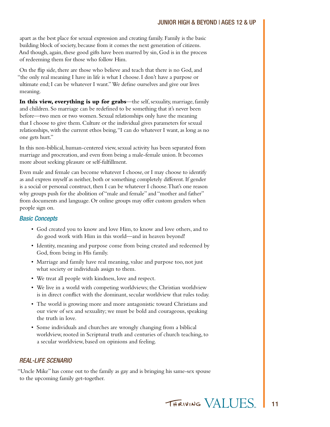apart as the best place for sexual expression and creating family. Family is the basic building block of society, because from it comes the next generation of citizens. And though, again, these good gifts have been marred by sin, God is in the process of redeeming them for those who follow Him.

On the flip side, there are those who believe and teach that there is no God, and "the only real meaning I have in life is what I choose. I don't have a purpose or ultimate end; I can be whatever I want." We define ourselves and give our lives meaning.

**In this view, everything is up for grabs**—the self, sexuality, marriage, family and children. So marriage can be redefined to be something that it's never been before—two men or two women. Sexual relationships only have the meaning that I choose to give them. Culture or the individual gives parameters for sexual relationships, with the current ethos being, "I can do whatever I want, as long as no one gets hurt."

In this non-biblical, human-centered view, sexual activity has been separated from marriage and procreation, and even from being a male-female union. It becomes more about seeking pleasure or self-fulfillment.

Even male and female can become whatever I choose, or I may choose to identify as and express myself as neither, both or something completely different. If gender is a social or personal construct, then I can be whatever I choose. That's one reason why groups push for the abolition of "male and female" and "mother and father" from documents and language. Or online groups may offer custom genders when people sign on.

#### *Basic Concepts*

- God created you to know and love Him, to know and love others, and to do good work with Him in this world—and in heaven beyond!
- Identity, meaning and purpose come from being created and redeemed by God, from being in His family.
- Marriage and family have real meaning, value and purpose too, not just what society or individuals assign to them.
- We treat all people with kindness, love and respect.
- We live in a world with competing worldviews; the Christian worldview is in direct conflict with the dominant, secular worldview that rules today.
- The world is growing more and more antagonistic toward Christians and our view of sex and sexuality; we must be bold and courageous, speaking the truth in love.
- Some individuals and churches are wrongly changing from a biblical worldview, rooted in Scriptural truth and centuries of church teaching, to a secular worldview, based on opinions and feeling.

#### *REAL-LIFE SCENARIO*

"Uncle Mike" has come out to the family as gay and is bringing his same-sex spouse to the upcoming family get-together.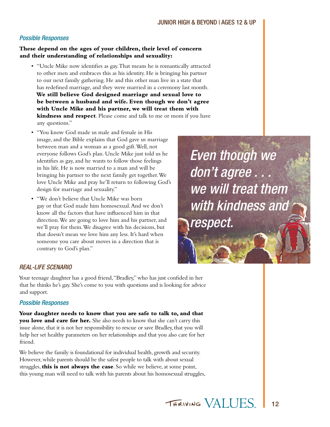#### *Possible Responses*

#### **These depend on the ages of your children, their level of concern and their understanding of relationships and sexuality:**

- "Uncle Mike now identifies as gay. That means he is romantically attracted to other men and embraces this as his identity. He is bringing his partner to our next family gathering. He and this other man live in a state that has redefined marriage, and they were married in a ceremony last month. **We still believe God designed marriage and sexual love to be between a husband and wife. Even though we don't agree with Uncle Mike and his partner, we will treat them with kindness and respect**. Please come and talk to me or mom if you have any questions."
- "You know God made us male and female in His image, and the Bible explains that God gave us marriage between man and a woman as a good gift. Well, not everyone follows God's plan. Uncle Mike just told us he identifies as gay, and he wants to follow those feelings in his life. He is now married to a man and will be bringing his partner to the next family get together. We love Uncle Mike and pray he'll return to following God's design for marriage and sexuality."
- "We don't believe that Uncle Mike was born gay or that God made him homosexual. And we don't know all the factors that have influenced him in that direction. We are going to love him and his partner, and we'll pray for them. We disagree with his decisions, but that doesn't mean we love him any less. It's hard when someone you care about moves in a direction that is contrary to God's plan."

## *Even though we don't agree . . . we will treat them with kindness and respect.*

#### *REAL-LIFE SCENARIO*

Your teenage daughter has a good friend, "Bradley," who has just confided in her that he thinks he's gay. She's come to you with questions and is looking for advice and support.

#### *Possible Responses*

**Your daughter needs to know that you are safe to talk to, and that you love and care for her.** She also needs to know that she can't carry this issue alone, that it is not her responsibility to rescue or save Bradley, that you will help her set healthy parameters on her relationships and that you also care for her friend.

We believe the family is foundational for individual health, growth and security. However, while parents should be the safest people to talk with about sexual struggles, **this is not always the case**. So while we believe, at some point, this young man will need to talk with his parents about his homosexual struggles,

> THRIVING VALUES 12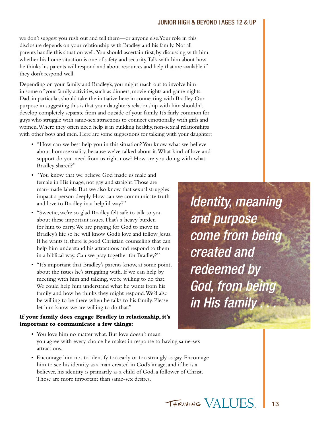#### JUNIOR HIGH & BEYOND | AGES 12 & UP

we don't suggest you rush out and tell them—or anyone else. Your role in this disclosure depends on your relationship with Bradley and his family. Not all parents handle this situation well. You should ascertain first, by discussing with him, whether his home situation is one of safety and security. Talk with him about how he thinks his parents will respond and about resources and help that are available if they don't respond well.

Depending on your family and Bradley's, you might reach out to involve him in some of your family activities, such as dinners, movie nights and game nights. Dad, in particular, should take the initiative here in connecting with Bradley. Our purpose in suggesting this is that your daughter's relationship with him shouldn't develop completely separate from and outside of your family. It's fairly common for guys who struggle with same-sex attractions to connect emotionally with girls and women. Where they often need help is in building healthy, non-sexual relationships with other boys and men. Here are some suggestions for talking with your daughter:

- "How can we best help you in this situation? You know what we believe about homosexuality, because we've talked about it. What kind of love and support do you need from us right now? How are you doing with what Bradley shared?"
- "You know that we believe God made us male and female in His image, not gay and straight. Those are man-made labels. But we also know that sexual struggles impact a person deeply. How can we communicate truth and love to Bradley in a helpful way?"
- "Sweetie, we're so glad Bradley felt safe to talk to you about these important issues. That's a heavy burden for him to carry. We are praying for God to move in Bradley's life so he will know God's love and follow Jesus. If he wants it, there is good Christian counseling that can help him understand his attractions and respond to them in a biblical way. Can we pray together for Bradley?"
- "It's important that Bradley's parents know, at some point, about the issues he's struggling with. If we can help by meeting with him and talking, we're willing to do that. We could help him understand what he wants from his family and how he thinks they might respond. We'd also be willing to be there when he talks to his family. Please let him know we are willing to do that."

#### **If your family does engage Bradley in relationship, it's important to communicate a few things:**

- You love him no matter what. But love doesn't mean you agree with every choice he makes in response to having same-sex attractions.
- Encourage him not to identify too early or too strongly as gay. Encourage him to see his identity as a man created in God's image, and if he is a believer, his identity is primarily as a child of God, a follower of Christ. Those are more important than same-sex desires.

*Identity, meaning and purpose come from being created and redeemed by God, from being in His family* 

THRIVING VALUES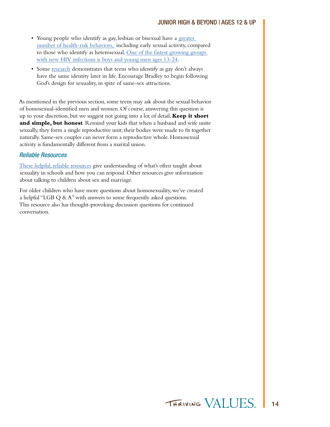- Young people who identify as gay, lesbian or bisexual have a greater [number of health-risk behaviors,](http://www.cdc.gov/mmwr/preview/mmwrhtml/ss6007a1.htm) including early sexual activity, compared to those who identify as heterosexual. [One of the fastest growing groups](http://www.webmd.com/hiv-aids/news/20140719/hiv-diagnoses-down-in-us-except-for-young-gay-males-cdc )  [with new HIV infections is boys and young men ages 13-24.](http://www.webmd.com/hiv-aids/news/20140719/hiv-diagnoses-down-in-us-except-for-young-gay-males-cdc )
- Some [research](http://mygenes.co.nz/PDFs/Ch12.pdf) demonstrates that teens who identify as gay don't always have the same identity later in life. Encourage Bradley to begin following God's design for sexuality, in spite of same-sex attractions.

As mentioned in the previous section, some teens may ask about the sexual behavior of homosexual-identified men and women. Of course, answering this question is up to your discretion, but we suggest not going into a lot of detail. **Keep it short and simple, but honest**. Remind your kids that when a husband and wife unite sexually, they form a single reproductive unit; their bodies were made to fit together naturally. Same-sex couples can never form a reproductive whole. Homosexual activity is fundamentally different from a marital union.

#### *Reliable Resources*

[These helpful, reliable resources](http://bit.ly/1BvYWFW) give understanding of what's often taught about sexuality in schools and how you can respond. Other resources give information about talking to children about sex and marriage.

For older children who have more questions about homosexuality, we've created a helpful "LGB Q & A" with answers to some frequently asked questions. This resource also has thought-provoking discussion questions for continued conversation.